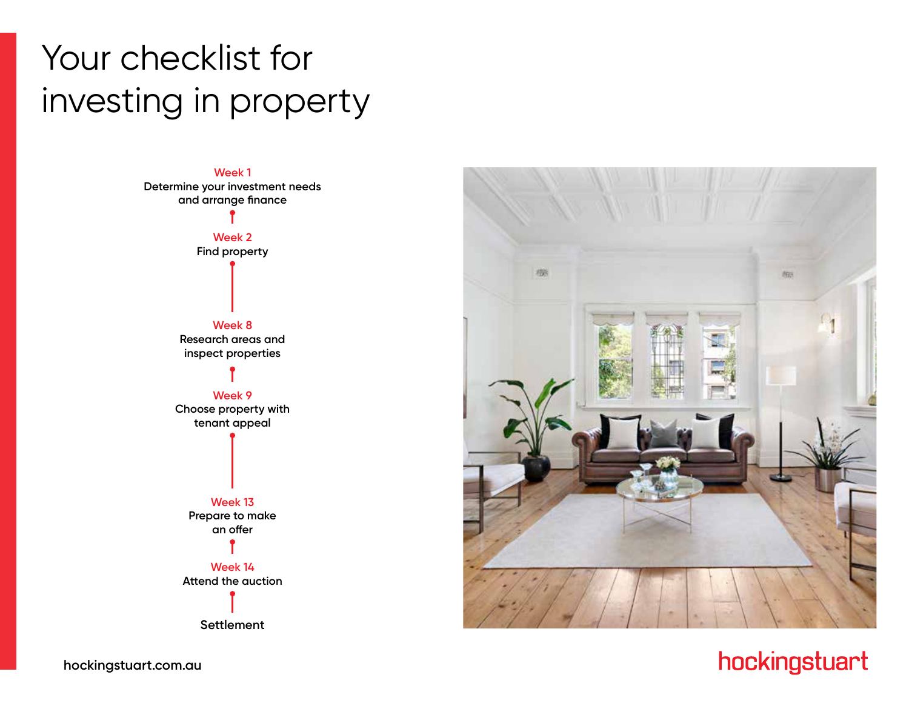# Your checklist for investing in property





# hockingstuart

**hockingstuart.com.au**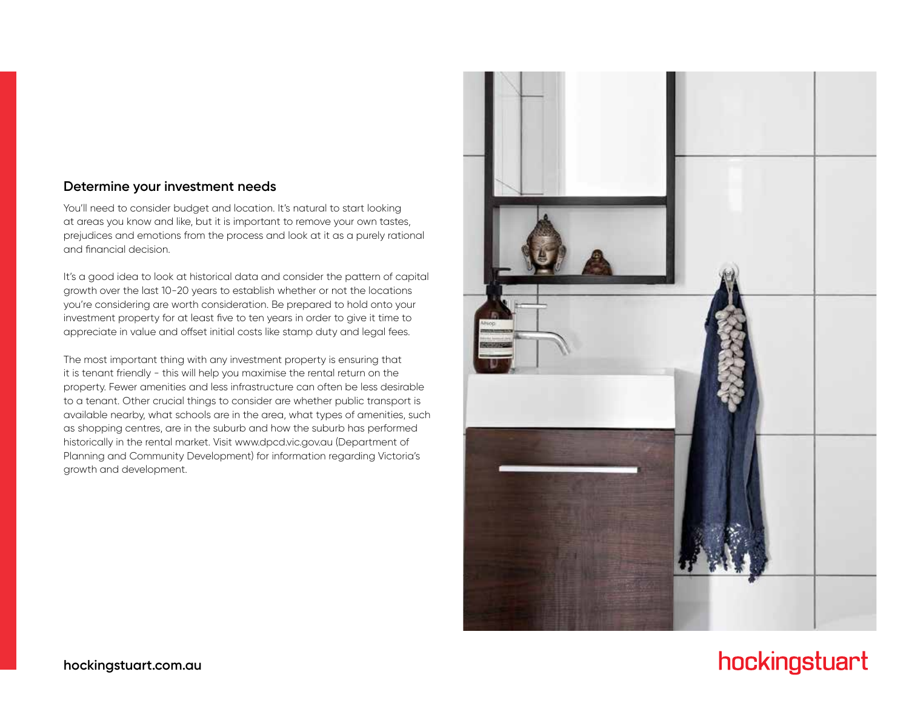#### **Determine your investment needs**

You'll need to consider budget and location. It's natural to start looking at areas you know and like, but it is important to remove your own tastes, prejudices and emotions from the process and look at it as a purely rational and financial decision.

It's a good idea to look at historical data and consider the pattern of capital growth over the last 10-20 years to establish whether or not the locations you're considering are worth consideration. Be prepared to hold onto your investment property for at least five to ten years in order to give it time to appreciate in value and offset initial costs like stamp duty and legal fees.

The most important thing with any investment property is ensuring that it is tenant friendly - this will help you maximise the rental return on the property. Fewer amenities and less infrastructure can often be less desirable to a tenant. Other crucial things to consider are whether public transport is available nearby, what schools are in the area, what types of amenities, such as shopping centres, are in the suburb and how the suburb has performed historically in the rental market. Visit www.dpcd.vic.gov.au (Department of Planning and Community Development) for information regarding Victoria's growth and development.

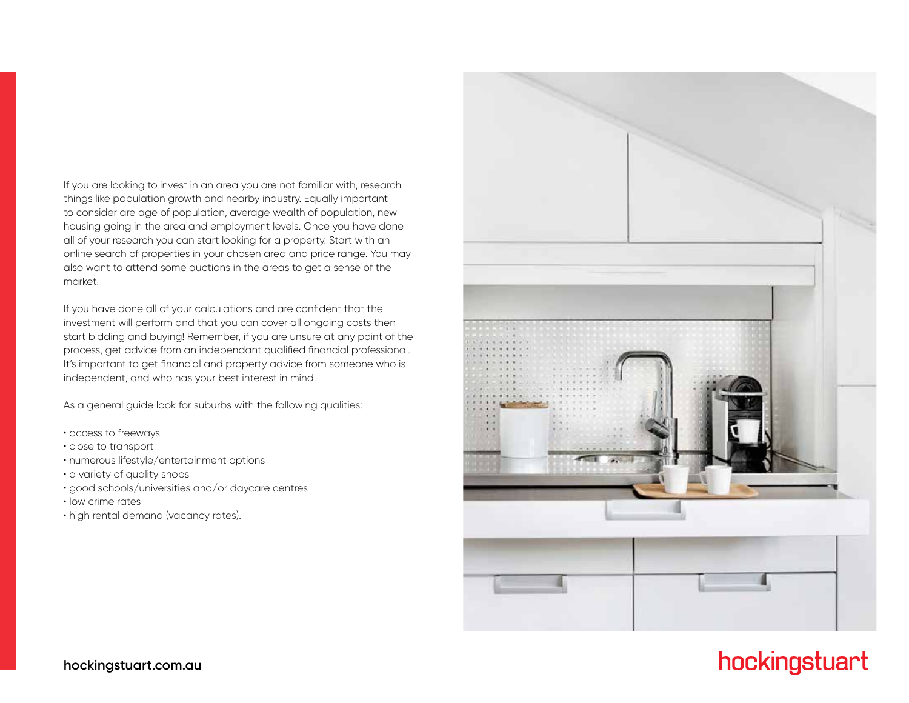If you are looking to invest in an area you are not familiar with, research things like population growth and nearby industry. Equally important to consider are age of population, average wealth of population, new housing going in the area and employment levels. Once you have done all of your research you can start looking for a property. Start with an online search of properties in your chosen area and price range. You may also want to attend some auctions in the areas to get a sense of the market.

If you have done all of your calculations and are confident that the investment will perform and that you can cover all ongoing costs then start bidding and buying! Remember, if you are unsure at any point of the process, get advice from an independant qualified financial professional. It's important to get financial and property advice from someone who is independent, and who has your best interest in mind.

As a general guide look for suburbs with the following qualities:

- access to freeways
- close to transport
- numerous lifestyle/entertainment options
- a variety of quality shops
- good schools/universities and/or daycare centres
- low crime rates
- high rental demand (vacancy rates).



# hockingstuart

#### **hockingstuart.com.au**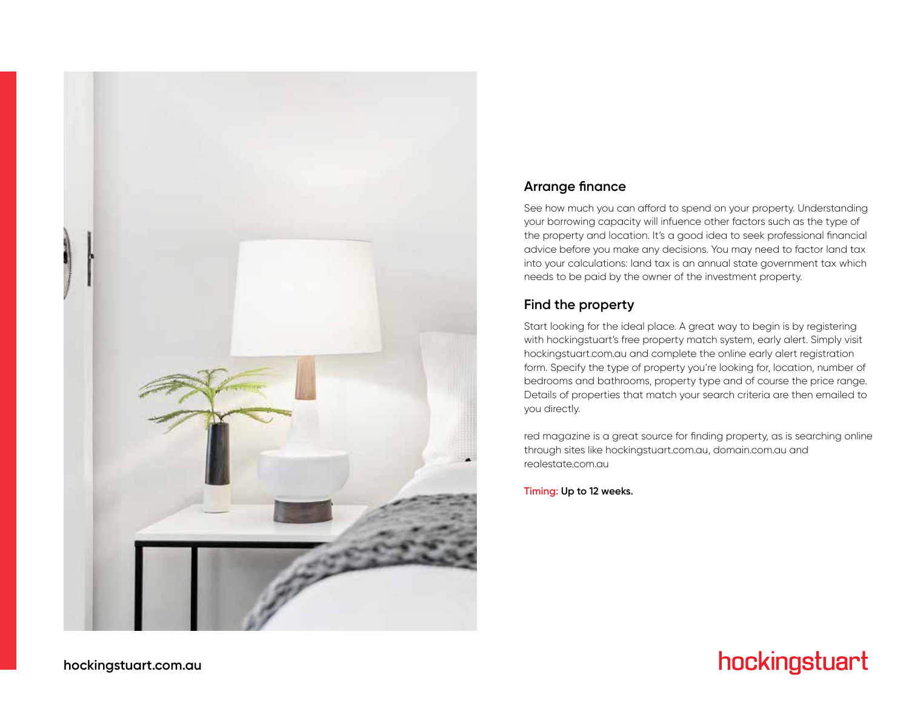

### **Arrange finance**

See how much you can afford to spend on your property. Understanding your borrowing capacity will infuence other factors such as the type of the property and location. It's a good idea to seek professional financial advice before you make any decisions. You may need to factor land tax into your calculations: land tax is an annual state government tax which needs to be paid by the owner of the investment property.

### **Find the property**

Start looking for the ideal place. A great way to begin is by registering with hockingstuart's free property match system, early alert. Simply visit hockingstuart.com.au and complete the online early alert registration form. Specify the type of property you're looking for, location, number of bedrooms and bathrooms, property type and of course the price range. Details of properties that match your search criteria are then emailed to you directly.

red magazine is a great source for finding property, as is searching online through sites like hockingstuart.com.au, domain.com.au and realestate.com.au

**Timing: Up to 12 weeks.**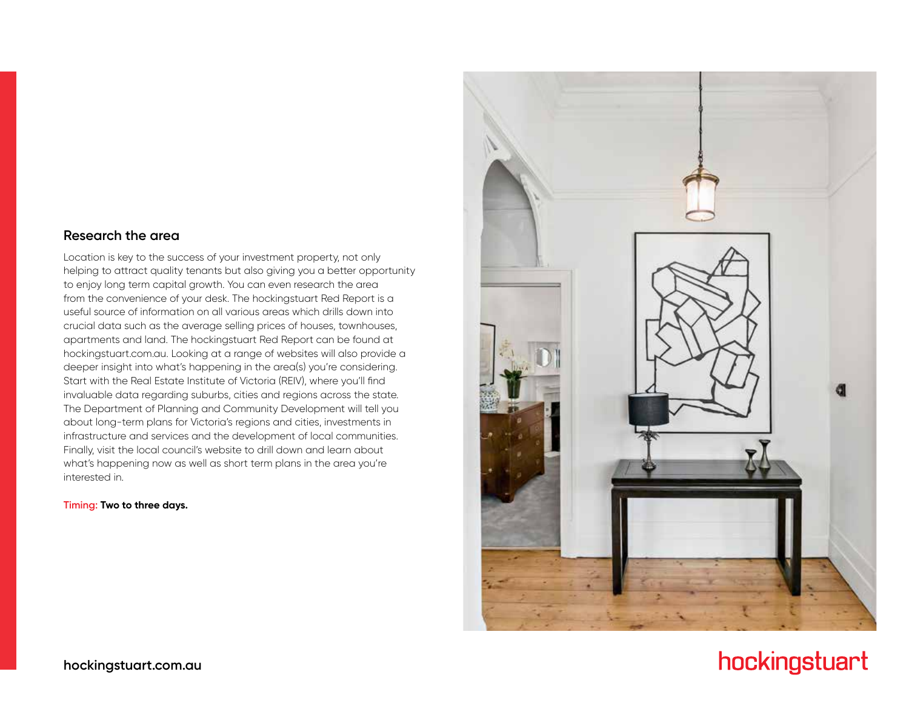#### **Research the area**

Location is key to the success of your investment property, not only helping to attract quality tenants but also giving you a better opportunity to enjoy long term capital growth. You can even research the area from the convenience of your desk. The hockingstuart Red Report is a useful source of information on all various areas which drills down into crucial data such as the average selling prices of houses, townhouses, apartments and land. The hockingstuart Red Report can be found at hockingstuart.com.au. Looking at a range of websites will also provide a deeper insight into what's happening in the area(s) you're considering. Start with the Real Estate Institute of Victoria (REIV), where you'll find invaluable data regarding suburbs, cities and regions across the state. The Department of Planning and Community Development will tell you about long-term plans for Victoria's regions and cities, investments in infrastructure and services and the development of local communities. Finally, visit the local council's website to drill down and learn about what's happening now as well as short term plans in the area you're interested in.

**Timing: Two to three days.**

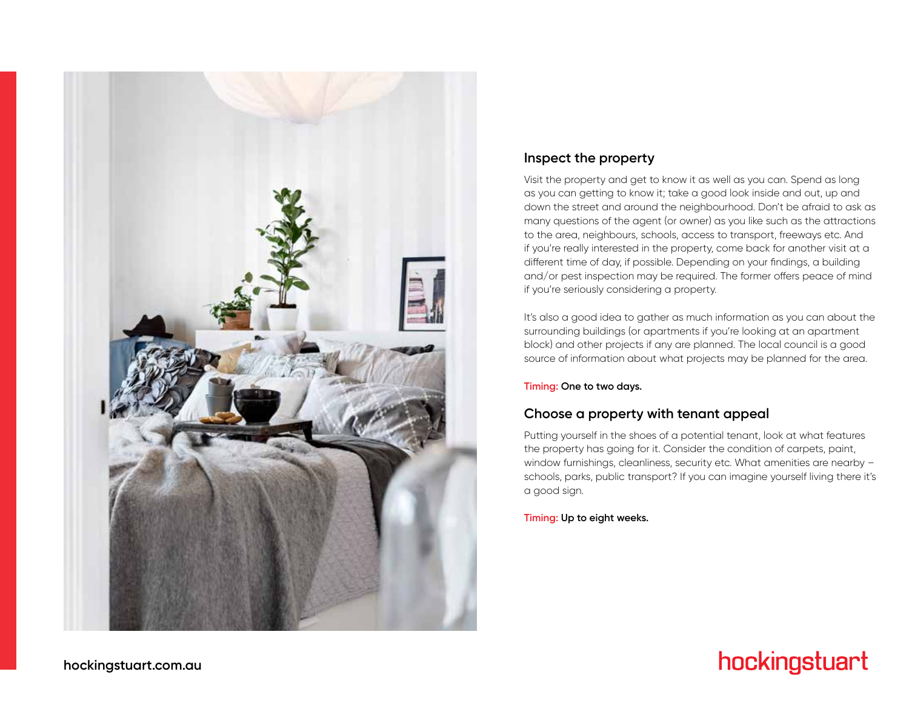

### **Inspect the property**

Visit the property and get to know it as well as you can. Spend as long as you can getting to know it; take a good look inside and out, up and down the street and around the neighbourhood. Don't be afraid to ask as many questions of the agent (or owner) as you like such as the attractions to the area, neighbours, schools, access to transport, freeways etc. And if you're really interested in the property, come back for another visit at a different time of day, if possible. Depending on your findings, a building and/or pest inspection may be required. The former offers peace of mind if you're seriously considering a property.

It's also a good idea to gather as much information as you can about the surrounding buildings (or apartments if you're looking at an apartment block) and other projects if any are planned. The local council is a good source of information about what projects may be planned for the area.

#### **Timing: One to two days.**

### **Choose a property with tenant appeal**

Putting yourself in the shoes of a potential tenant, look at what features the property has going for it. Consider the condition of carpets, paint, window furnishings, cleanliness, security etc. What amenities are nearby schools, parks, public transport? If you can imagine yourself living there it's a good sign.

#### **Timing: Up to eight weeks.**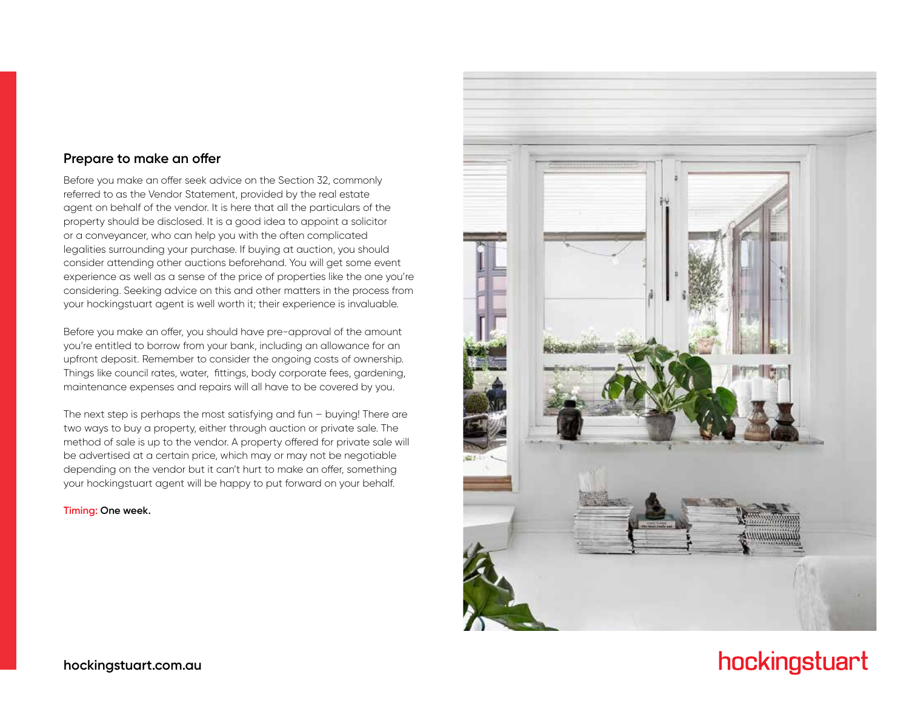#### **Prepare to make an offer**

Before you make an offer seek advice on the Section 32, commonly referred to as the Vendor Statement, provided by the real estate agent on behalf of the vendor. It is here that all the particulars of the property should be disclosed. It is a good idea to appoint a solicitor or a conveyancer, who can help you with the often complicated legalities surrounding your purchase. If buying at auction, you should consider attending other auctions beforehand. You will get some event experience as well as a sense of the price of properties like the one you're considering. Seeking advice on this and other matters in the process from your hockingstuart agent is well worth it; their experience is invaluable.

Before you make an offer, you should have pre-approval of the amount you're entitled to borrow from your bank, including an allowance for an upfront deposit. Remember to consider the ongoing costs of ownership. Things like council rates, water, fittings, body corporate fees, gardening, maintenance expenses and repairs will all have to be covered by you.

The next step is perhaps the most satisfying and fun – buying! There are two ways to buy a property, either through auction or private sale. The method of sale is up to the vendor. A property offered for private sale will be advertised at a certain price, which may or may not be negotiable depending on the vendor but it can't hurt to make an offer, something your hockingstuart agent will be happy to put forward on your behalf.

#### **Timing: One week.**